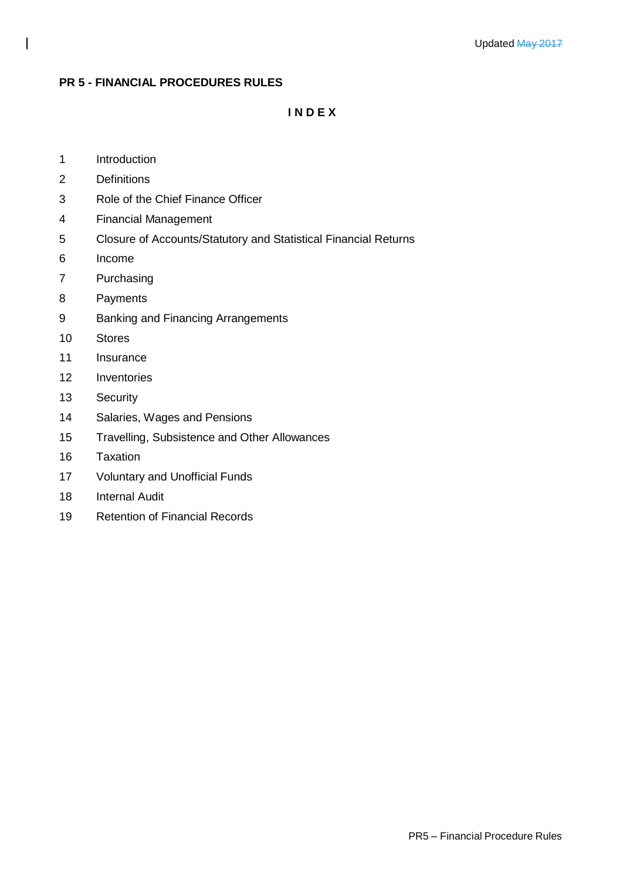## **PR 5 - FINANCIAL PROCEDURES RULES**

**I N D E X**

- Introduction
- Definitions
- Role of the Chief Finance Officer
- Financial Management
- Closure of Accounts/Statutory and Statistical Financial Returns
- Income
- Purchasing
- Payments
- Banking and Financing Arrangements
- Stores
- Insurance
- Inventories
- Security
- Salaries, Wages and Pensions
- Travelling, Subsistence and Other Allowances
- Taxation
- Voluntary and Unofficial Funds
- Internal Audit
- Retention of Financial Records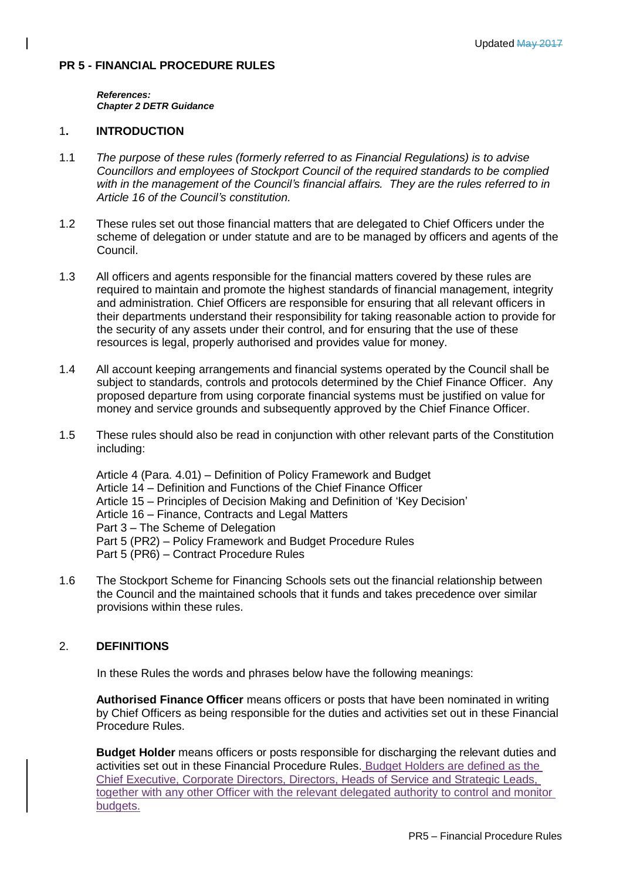# **PR 5 - FINANCIAL PROCEDURE RULES**

*References: Chapter 2 DETR Guidance*

### 1**. INTRODUCTION**

- 1.1 *The purpose of these rules (formerly referred to as Financial Regulations) is to advise Councillors and employees of Stockport Council of the required standards to be complied with in the management of the Council's financial affairs. They are the rules referred to in Article 16 of the Council's constitution.*
- 1.2 These rules set out those financial matters that are delegated to Chief Officers under the scheme of delegation or under statute and are to be managed by officers and agents of the Council.
- 1.3 All officers and agents responsible for the financial matters covered by these rules are required to maintain and promote the highest standards of financial management, integrity and administration. Chief Officers are responsible for ensuring that all relevant officers in their departments understand their responsibility for taking reasonable action to provide for the security of any assets under their control, and for ensuring that the use of these resources is legal, properly authorised and provides value for money.
- 1.4 All account keeping arrangements and financial systems operated by the Council shall be subject to standards, controls and protocols determined by the Chief Finance Officer. Any proposed departure from using corporate financial systems must be justified on value for money and service grounds and subsequently approved by the Chief Finance Officer.
- 1.5 These rules should also be read in conjunction with other relevant parts of the Constitution including:

Article 4 (Para. 4.01) – Definition of Policy Framework and Budget Article 14 – Definition and Functions of the Chief Finance Officer Article 15 – Principles of Decision Making and Definition of 'Key Decision' Article 16 – Finance, Contracts and Legal Matters Part 3 – The Scheme of Delegation Part 5 (PR2) – Policy Framework and Budget Procedure Rules Part 5 (PR6) – Contract Procedure Rules

1.6 The Stockport Scheme for Financing Schools sets out the financial relationship between the Council and the maintained schools that it funds and takes precedence over similar provisions within these rules.

# 2. **DEFINITIONS**

In these Rules the words and phrases below have the following meanings:

**Authorised Finance Officer** means officers or posts that have been nominated in writing by Chief Officers as being responsible for the duties and activities set out in these Financial Procedure Rules.

**Budget Holder** means officers or posts responsible for discharging the relevant duties and activities set out in these Financial Procedure Rules. Budget Holders are defined as the Chief Executive, Corporate Directors, Directors, Heads of Service and Strategic Leads, together with any other Officer with the relevant delegated authority to control and monitor budgets.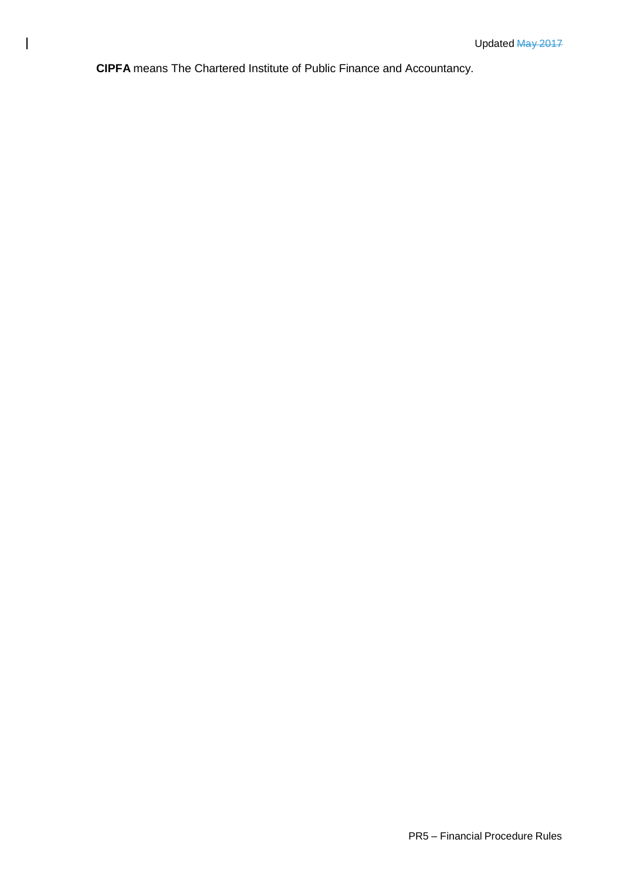**CIPFA** means The Chartered Institute of Public Finance and Accountancy.

 $\mathbf{I}$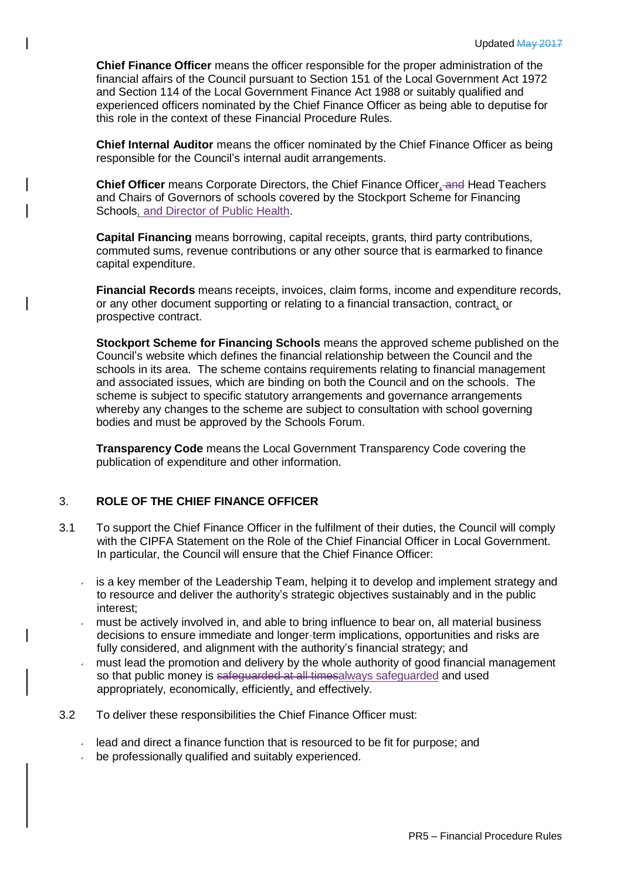**Chief Finance Officer** means the officer responsible for the proper administration of the financial affairs of the Council pursuant to Section 151 of the Local Government Act 1972 and Section 114 of the Local Government Finance Act 1988 or suitably qualified and experienced officers nominated by the Chief Finance Officer as being able to deputise for this role in the context of these Financial Procedure Rules.

**Chief Internal Auditor** means the officer nominated by the Chief Finance Officer as being responsible for the Council's internal audit arrangements.

**Chief Officer** means Corporate Directors, the Chief Finance Officer, and Head Teachers and Chairs of Governors of schools covered by the Stockport Scheme for Financing Schools, and Director of Public Health.

**Capital Financing** means borrowing, capital receipts, grants, third party contributions, commuted sums, revenue contributions or any other source that is earmarked to finance capital expenditure.

**Financial Records** means receipts, invoices, claim forms, income and expenditure records, or any other document supporting or relating to a financial transaction, contract, or prospective contract.

**Stockport Scheme for Financing Schools** means the approved scheme published on the Council's website which defines the financial relationship between the Council and the schools in its area. The scheme contains requirements relating to financial management and associated issues, which are binding on both the Council and on the schools. The scheme is subject to specific statutory arrangements and governance arrangements whereby any changes to the scheme are subject to consultation with school governing bodies and must be approved by the Schools Forum.

**Transparency Code** means the Local Government Transparency Code covering the publication of expenditure and other information.

# 3. **ROLE OF THE CHIEF FINANCE OFFICER**

- 3.1 To support the Chief Finance Officer in the fulfilment of their duties, the Council will comply with the CIPFA Statement on the Role of the Chief Financial Officer in Local Government. In particular, the Council will ensure that the Chief Finance Officer:
	- is a key member of the Leadership Team, helping it to develop and implement strategy and to resource and deliver the authority's strategic objectives sustainably and in the public interest;
	- must be actively involved in, and able to bring influence to bear on, all material business  $\epsilon$ decisions to ensure immediate and longer-term implications, opportunities and risks are fully considered, and alignment with the authority's financial strategy; and
	- must lead the promotion and delivery by the whole authority of good financial management so that public money is safeguarded at all timesalways safeguarded and used appropriately, economically, efficiently, and effectively.
- 3.2 To deliver these responsibilities the Chief Finance Officer must:
	- $\sim$  lead and direct a finance function that is resourced to be fit for purpose; and
	- **be professionally qualified and suitably experienced.**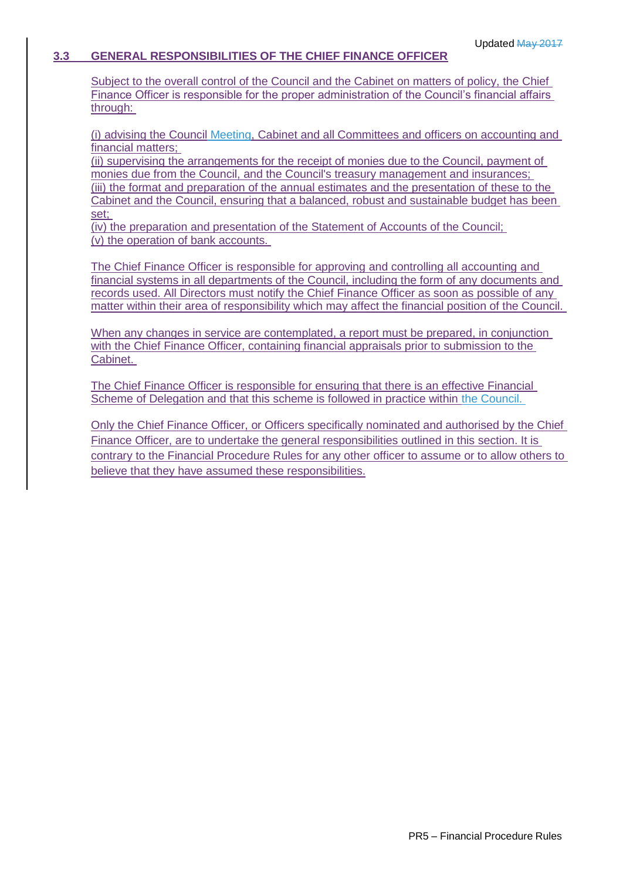## **3.3 GENERAL RESPONSIBILITIES OF THE CHIEF FINANCE OFFICER**

Subject to the overall control of the Council and the Cabinet on matters of policy, the Chief Finance Officer is responsible for the proper administration of the Council's financial affairs through:

(i) advising the Council Meeting, Cabinet and all Committees and officers on accounting and financial matters;

(ii) supervising the arrangements for the receipt of monies due to the Council, payment of monies due from the Council, and the Council's treasury management and insurances; (iii) the format and preparation of the annual estimates and the presentation of these to the Cabinet and the Council, ensuring that a balanced, robust and sustainable budget has been set;

(iv) the preparation and presentation of the Statement of Accounts of the Council; (v) the operation of bank accounts.

The Chief Finance Officer is responsible for approving and controlling all accounting and financial systems in all departments of the Council, including the form of any documents and records used. All Directors must notify the Chief Finance Officer as soon as possible of any matter within their area of responsibility which may affect the financial position of the Council.

When any changes in service are contemplated, a report must be prepared, in conjunction with the Chief Finance Officer, containing financial appraisals prior to submission to the Cabinet.

The Chief Finance Officer is responsible for ensuring that there is an effective Financial Scheme of Delegation and that this scheme is followed in practice within the Council.

Only the Chief Finance Officer, or Officers specifically nominated and authorised by the Chief Finance Officer, are to undertake the general responsibilities outlined in this section. It is contrary to the Financial Procedure Rules for any other officer to assume or to allow others to believe that they have assumed these responsibilities.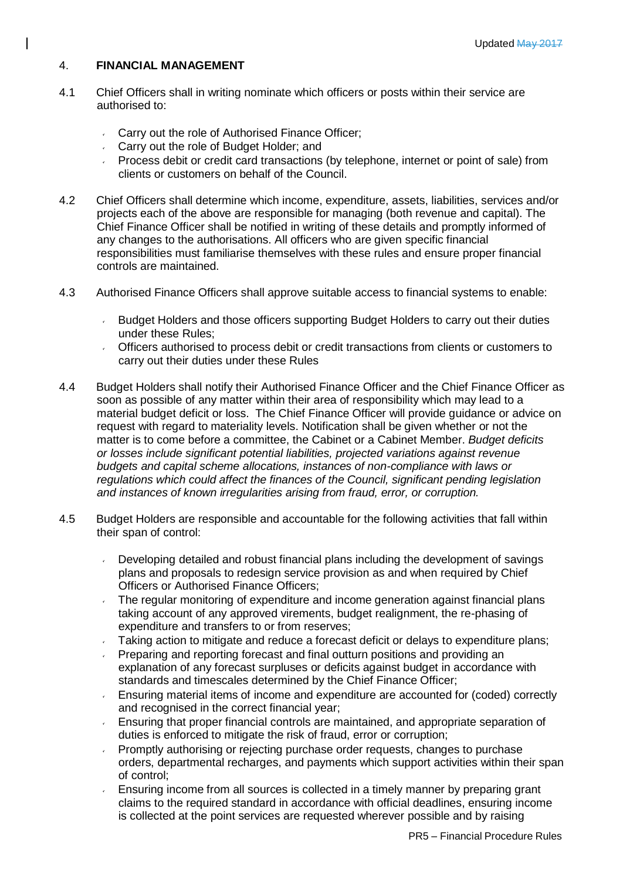# 4. **FINANCIAL MANAGEMENT**

- 4.1 Chief Officers shall in writing nominate which officers or posts within their service are authorised to:
	- **Carry out the role of Authorised Finance Officer;**
	- **Carry out the role of Budget Holder; and**
	- Process debit or credit card transactions (by telephone, internet or point of sale) from clients or customers on behalf of the Council.
- 4.2 Chief Officers shall determine which income, expenditure, assets, liabilities, services and/or projects each of the above are responsible for managing (both revenue and capital). The Chief Finance Officer shall be notified in writing of these details and promptly informed of any changes to the authorisations. All officers who are given specific financial responsibilities must familiarise themselves with these rules and ensure proper financial controls are maintained.
- 4.3 Authorised Finance Officers shall approve suitable access to financial systems to enable:
	- Budget Holders and those officers supporting Budget Holders to carry out their duties under these Rules;
	- Officers authorised to process debit or credit transactions from clients or customers to carry out their duties under these Rules
- 4.4 Budget Holders shall notify their Authorised Finance Officer and the Chief Finance Officer as soon as possible of any matter within their area of responsibility which may lead to a material budget deficit or loss. The Chief Finance Officer will provide guidance or advice on request with regard to materiality levels. Notification shall be given whether or not the matter is to come before a committee, the Cabinet or a Cabinet Member. *Budget deficits or losses include significant potential liabilities, projected variations against revenue budgets and capital scheme allocations, instances of non-compliance with laws or regulations which could affect the finances of the Council, significant pending legislation and instances of known irregularities arising from fraud, error, or corruption.*
- 4.5 Budget Holders are responsible and accountable for the following activities that fall within their span of control:
	- Developing detailed and robust financial plans including the development of savings plans and proposals to redesign service provision as and when required by Chief Officers or Authorised Finance Officers;
	- The regular monitoring of expenditure and income generation against financial plans  $\checkmark$ taking account of any approved virements, budget realignment, the re-phasing of expenditure and transfers to or from reserves;
	- Taking action to mitigate and reduce a forecast deficit or delays to expenditure plans;
	- Preparing and reporting forecast and final outturn positions and providing an explanation of any forecast surpluses or deficits against budget in accordance with standards and timescales determined by the Chief Finance Officer;
	- Ensuring material items of income and expenditure are accounted for (coded) correctly and recognised in the correct financial year;
	- Ensuring that proper financial controls are maintained, and appropriate separation of  $\mathbf{v}$ duties is enforced to mitigate the risk of fraud, error or corruption;
	- Promptly authorising or rejecting purchase order requests, changes to purchase orders, departmental recharges, and payments which support activities within their span of control;
	- Ensuring income from all sources is collected in a timely manner by preparing grant claims to the required standard in accordance with official deadlines, ensuring income is collected at the point services are requested wherever possible and by raising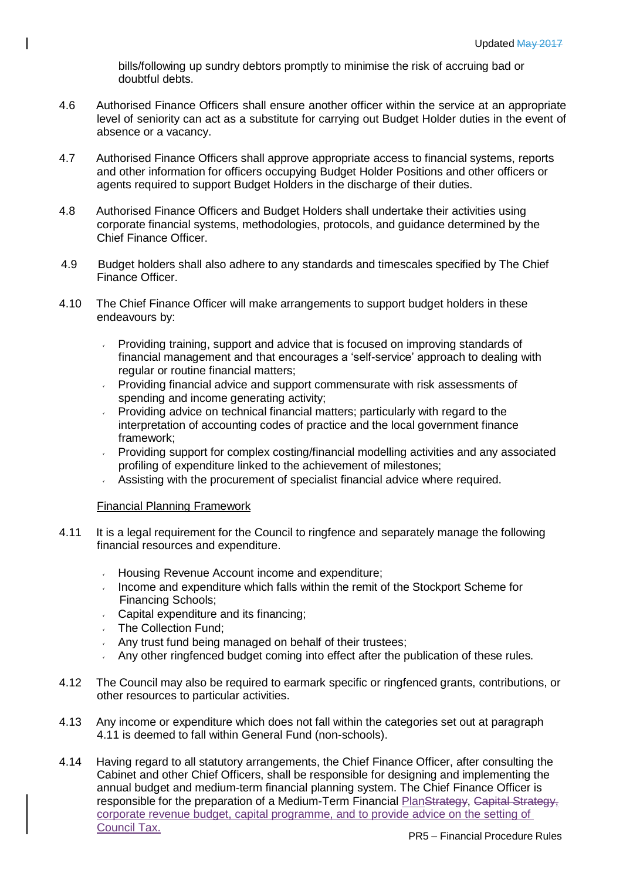bills/following up sundry debtors promptly to minimise the risk of accruing bad or doubtful debts.

- 4.6 Authorised Finance Officers shall ensure another officer within the service at an appropriate level of seniority can act as a substitute for carrying out Budget Holder duties in the event of absence or a vacancy.
- 4.7 Authorised Finance Officers shall approve appropriate access to financial systems, reports and other information for officers occupying Budget Holder Positions and other officers or agents required to support Budget Holders in the discharge of their duties.
- 4.8 Authorised Finance Officers and Budget Holders shall undertake their activities using corporate financial systems, methodologies, protocols, and guidance determined by the Chief Finance Officer.
- 4.9 Budget holders shall also adhere to any standards and timescales specified by The Chief Finance Officer.
- 4.10 The Chief Finance Officer will make arrangements to support budget holders in these endeavours by:
	- Providing training, support and advice that is focused on improving standards of  $\mathbf{v}^{(i)}$ financial management and that encourages a 'self-service' approach to dealing with regular or routine financial matters;
	- Providing financial advice and support commensurate with risk assessments of spending and income generating activity;
	- Providing advice on technical financial matters; particularly with regard to the  $\mathbf{v}^{\left(1\right)}$ interpretation of accounting codes of practice and the local government finance framework;
	- Providing support for complex costing/financial modelling activities and any associated profiling of expenditure linked to the achievement of milestones;
	- Assisting with the procurement of specialist financial advice where required.

### Financial Planning Framework

- 4.11 It is a legal requirement for the Council to ringfence and separately manage the following financial resources and expenditure.
	- Housing Revenue Account income and expenditure;
	- Income and expenditure which falls within the remit of the Stockport Scheme for Financing Schools;
	- Capital expenditure and its financing;
	- The Collection Fund;  $\mathbf{v}$
	- Any trust fund being managed on behalf of their trustees;
	- Any other ringfenced budget coming into effect after the publication of these rules.
- 4.12 The Council may also be required to earmark specific or ringfenced grants, contributions, or other resources to particular activities.
- 4.13 Any income or expenditure which does not fall within the categories set out at paragraph 4.11 is deemed to fall within General Fund (non-schools).
- 4.14 Having regard to all statutory arrangements, the Chief Finance Officer, after consulting the Cabinet and other Chief Officers, shall be responsible for designing and implementing the annual budget and medium-term financial planning system. The Chief Finance Officer is responsible for the preparation of a Medium-Term Financial PlanStrategy, Capital Strategy, corporate revenue budget, capital programme, and to provide advice on the setting of Council Tax.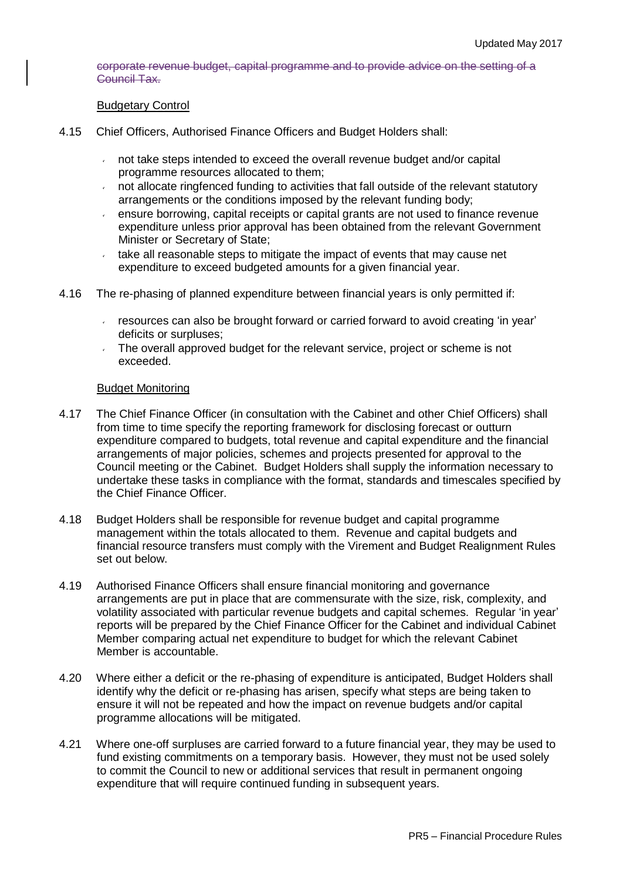corporate revenue budget, capital programme and to provide advice on the setting of a Council Tax.

### Budgetary Control

- 4.15 Chief Officers, Authorised Finance Officers and Budget Holders shall:
	- not take steps intended to exceed the overall revenue budget and/or capital programme resources allocated to them;
	- $\sim$  not allocate ringfenced funding to activities that fall outside of the relevant statutory arrangements or the conditions imposed by the relevant funding body;
	- ensure borrowing, capital receipts or capital grants are not used to finance revenue  $\mathbf{v}$ expenditure unless prior approval has been obtained from the relevant Government Minister or Secretary of State;
	- take all reasonable steps to mitigate the impact of events that may cause net  $\mathbf{v}^{(i)}$ expenditure to exceed budgeted amounts for a given financial year.
- 4.16 The re-phasing of planned expenditure between financial years is only permitted if:
	- $\sim$  resources can also be brought forward or carried forward to avoid creating 'in year' deficits or surpluses;
	- The overall approved budget for the relevant service, project or scheme is not exceeded.

#### Budget Monitoring

- 4.17 The Chief Finance Officer (in consultation with the Cabinet and other Chief Officers) shall from time to time specify the reporting framework for disclosing forecast or outturn expenditure compared to budgets, total revenue and capital expenditure and the financial arrangements of major policies, schemes and projects presented for approval to the Council meeting or the Cabinet. Budget Holders shall supply the information necessary to undertake these tasks in compliance with the format, standards and timescales specified by the Chief Finance Officer.
- 4.18 Budget Holders shall be responsible for revenue budget and capital programme management within the totals allocated to them. Revenue and capital budgets and financial resource transfers must comply with the Virement and Budget Realignment Rules set out below.
- 4.19 Authorised Finance Officers shall ensure financial monitoring and governance arrangements are put in place that are commensurate with the size, risk, complexity, and volatility associated with particular revenue budgets and capital schemes. Regular 'in year' reports will be prepared by the Chief Finance Officer for the Cabinet and individual Cabinet Member comparing actual net expenditure to budget for which the relevant Cabinet Member is accountable.
- 4.20 Where either a deficit or the re-phasing of expenditure is anticipated, Budget Holders shall identify why the deficit or re-phasing has arisen, specify what steps are being taken to ensure it will not be repeated and how the impact on revenue budgets and/or capital programme allocations will be mitigated.
- 4.21 Where one-off surpluses are carried forward to a future financial year, they may be used to fund existing commitments on a temporary basis. However, they must not be used solely to commit the Council to new or additional services that result in permanent ongoing expenditure that will require continued funding in subsequent years.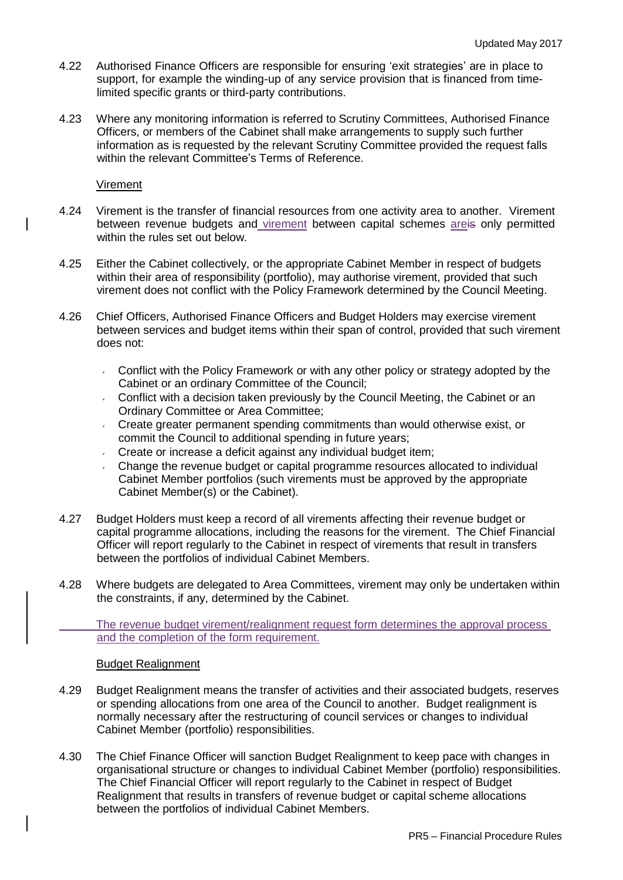- 4.22 Authorised Finance Officers are responsible for ensuring 'exit strategies' are in place to support, for example the winding-up of any service provision that is financed from timelimited specific grants or third-party contributions.
- 4.23 Where any monitoring information is referred to Scrutiny Committees, Authorised Finance Officers, or members of the Cabinet shall make arrangements to supply such further information as is requested by the relevant Scrutiny Committee provided the request falls within the relevant Committee's Terms of Reference.

### Virement

- 4.24 Virement is the transfer of financial resources from one activity area to another. Virement between revenue budgets and virement between capital schemes areis only permitted within the rules set out below.
- 4.25 Either the Cabinet collectively, or the appropriate Cabinet Member in respect of budgets within their area of responsibility (portfolio), may authorise virement, provided that such virement does not conflict with the Policy Framework determined by the Council Meeting.
- 4.26 Chief Officers, Authorised Finance Officers and Budget Holders may exercise virement between services and budget items within their span of control, provided that such virement does not:
	- Conflict with the Policy Framework or with any other policy or strategy adopted by the Cabinet or an ordinary Committee of the Council;
	- Conflict with a decision taken previously by the Council Meeting, the Cabinet or an Ordinary Committee or Area Committee;
	- Create greater permanent spending commitments than would otherwise exist, or commit the Council to additional spending in future years;
	- Create or increase a deficit against any individual budget item;
	- Change the revenue budget or capital programme resources allocated to individual Cabinet Member portfolios (such virements must be approved by the appropriate Cabinet Member(s) or the Cabinet).
- 4.27 Budget Holders must keep a record of all virements affecting their revenue budget or capital programme allocations, including the reasons for the virement. The Chief Financial Officer will report regularly to the Cabinet in respect of virements that result in transfers between the portfolios of individual Cabinet Members.
- 4.28 Where budgets are delegated to Area Committees, virement may only be undertaken within the constraints, if any, determined by the Cabinet.

The revenue budget virement/realignment request form determines the approval process and the completion of the form requirement.

### Budget Realignment

- 4.29 Budget Realignment means the transfer of activities and their associated budgets, reserves or spending allocations from one area of the Council to another. Budget realignment is normally necessary after the restructuring of council services or changes to individual Cabinet Member (portfolio) responsibilities.
- 4.30 The Chief Finance Officer will sanction Budget Realignment to keep pace with changes in organisational structure or changes to individual Cabinet Member (portfolio) responsibilities. The Chief Financial Officer will report regularly to the Cabinet in respect of Budget Realignment that results in transfers of revenue budget or capital scheme allocations between the portfolios of individual Cabinet Members.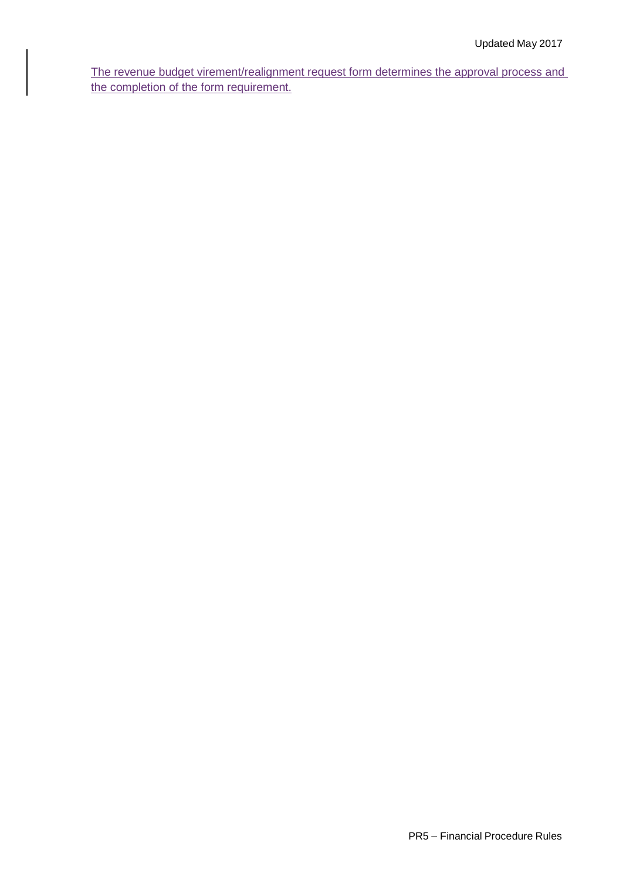The revenue budget virement/realignment request form determines the approval process and the completion of the form requirement.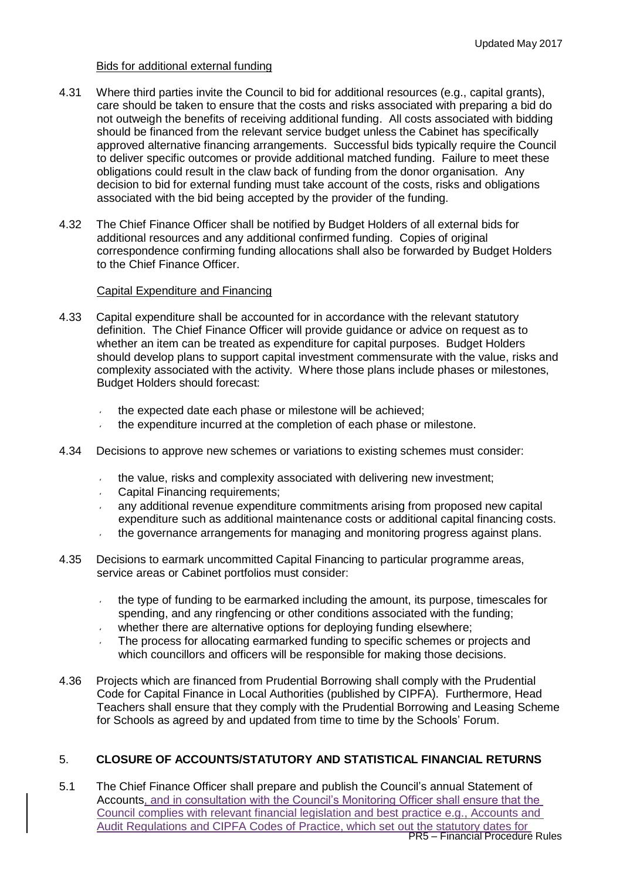## Bids for additional external funding

- 4.31 Where third parties invite the Council to bid for additional resources (e.g., capital grants), care should be taken to ensure that the costs and risks associated with preparing a bid do not outweigh the benefits of receiving additional funding. All costs associated with bidding should be financed from the relevant service budget unless the Cabinet has specifically approved alternative financing arrangements. Successful bids typically require the Council to deliver specific outcomes or provide additional matched funding. Failure to meet these obligations could result in the claw back of funding from the donor organisation. Any decision to bid for external funding must take account of the costs, risks and obligations associated with the bid being accepted by the provider of the funding.
- 4.32 The Chief Finance Officer shall be notified by Budget Holders of all external bids for additional resources and any additional confirmed funding. Copies of original correspondence confirming funding allocations shall also be forwarded by Budget Holders to the Chief Finance Officer.

## Capital Expenditure and Financing

- 4.33 Capital expenditure shall be accounted for in accordance with the relevant statutory definition. The Chief Finance Officer will provide guidance or advice on request as to whether an item can be treated as expenditure for capital purposes. Budget Holders should develop plans to support capital investment commensurate with the value, risks and complexity associated with the activity. Where those plans include phases or milestones, Budget Holders should forecast:
	- the expected date each phase or milestone will be achieved;
	- the expenditure incurred at the completion of each phase or milestone.
- 4.34 Decisions to approve new schemes or variations to existing schemes must consider:
	- the value, risks and complexity associated with delivering new investment;
	- Capital Financing requirements;
	- any additional revenue expenditure commitments arising from proposed new capital expenditure such as additional maintenance costs or additional capital financing costs.
	- the governance arrangements for managing and monitoring progress against plans.
- 4.35 Decisions to earmark uncommitted Capital Financing to particular programme areas, service areas or Cabinet portfolios must consider:
	- the type of funding to be earmarked including the amount, its purpose, timescales for  $\mathbf{v}$ spending, and any ringfencing or other conditions associated with the funding;
	- whether there are alternative options for deploying funding elsewhere:
	- The process for allocating earmarked funding to specific schemes or projects and which councillors and officers will be responsible for making those decisions.
- 4.36 Projects which are financed from Prudential Borrowing shall comply with the Prudential Code for Capital Finance in Local Authorities (published by CIPFA). Furthermore, Head Teachers shall ensure that they comply with the Prudential Borrowing and Leasing Scheme for Schools as agreed by and updated from time to time by the Schools' Forum.

# 5. **CLOSURE OF ACCOUNTS/STATUTORY AND STATISTICAL FINANCIAL RETURNS**

PR5 – Financial Procedure Rules 5.1 The Chief Finance Officer shall prepare and publish the Council's annual Statement of Accounts, and in consultation with the Council's Monitoring Officer shall ensure that the Council complies with relevant financial legislation and best practice e.g., Accounts and Audit Regulations and CIPFA Codes of Practice, which set out the statutory dates for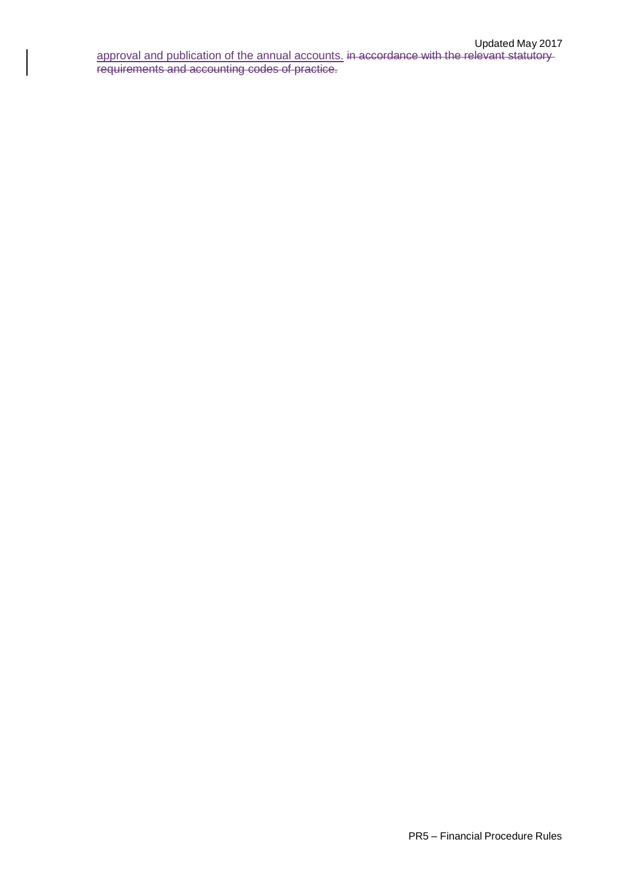approval and publication of the annual accounts. in accordance with the relevant statutory requirements and accounting codes of practice.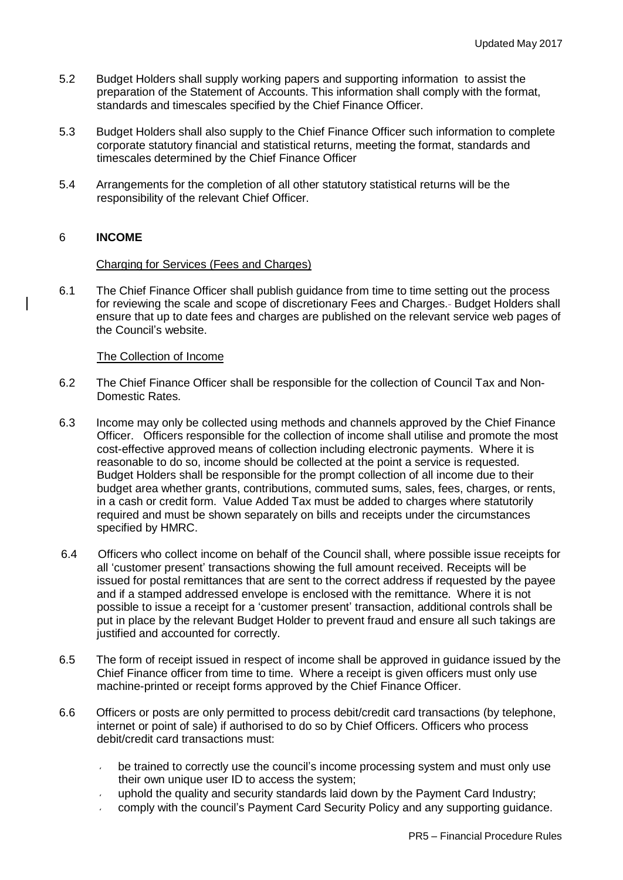- 5.2 Budget Holders shall supply working papers and supporting information to assist the preparation of the Statement of Accounts. This information shall comply with the format, standards and timescales specified by the Chief Finance Officer.
- 5.3 Budget Holders shall also supply to the Chief Finance Officer such information to complete corporate statutory financial and statistical returns, meeting the format, standards and timescales determined by the Chief Finance Officer
- 5.4 Arrangements for the completion of all other statutory statistical returns will be the responsibility of the relevant Chief Officer.

## 6 **INCOME**

### Charging for Services (Fees and Charges)

6.1 The Chief Finance Officer shall publish guidance from time to time setting out the process for reviewing the scale and scope of discretionary Fees and Charges. Budget Holders shall ensure that up to date fees and charges are published on the relevant service web pages of the Council's website.

### The Collection of Income

- 6.2 The Chief Finance Officer shall be responsible for the collection of Council Tax and Non-Domestic Rates.
- 6.3 Income may only be collected using methods and channels approved by the Chief Finance Officer. Officers responsible for the collection of income shall utilise and promote the most cost-effective approved means of collection including electronic payments. Where it is reasonable to do so, income should be collected at the point a service is requested. Budget Holders shall be responsible for the prompt collection of all income due to their budget area whether grants, contributions, commuted sums, sales, fees, charges, or rents, in a cash or credit form. Value Added Tax must be added to charges where statutorily required and must be shown separately on bills and receipts under the circumstances specified by HMRC.
- 6.4 Officers who collect income on behalf of the Council shall, where possible issue receipts for all 'customer present' transactions showing the full amount received. Receipts will be issued for postal remittances that are sent to the correct address if requested by the payee and if a stamped addressed envelope is enclosed with the remittance. Where it is not possible to issue a receipt for a 'customer present' transaction, additional controls shall be put in place by the relevant Budget Holder to prevent fraud and ensure all such takings are justified and accounted for correctly.
- 6.5 The form of receipt issued in respect of income shall be approved in guidance issued by the Chief Finance officer from time to time. Where a receipt is given officers must only use machine-printed or receipt forms approved by the Chief Finance Officer.
- 6.6 Officers or posts are only permitted to process debit/credit card transactions (by telephone, internet or point of sale) if authorised to do so by Chief Officers. Officers who process debit/credit card transactions must:
	- be trained to correctly use the council's income processing system and must only use their own unique user ID to access the system;
	- uphold the quality and security standards laid down by the Payment Card Industry;
	- comply with the council's Payment Card Security Policy and any supporting guidance.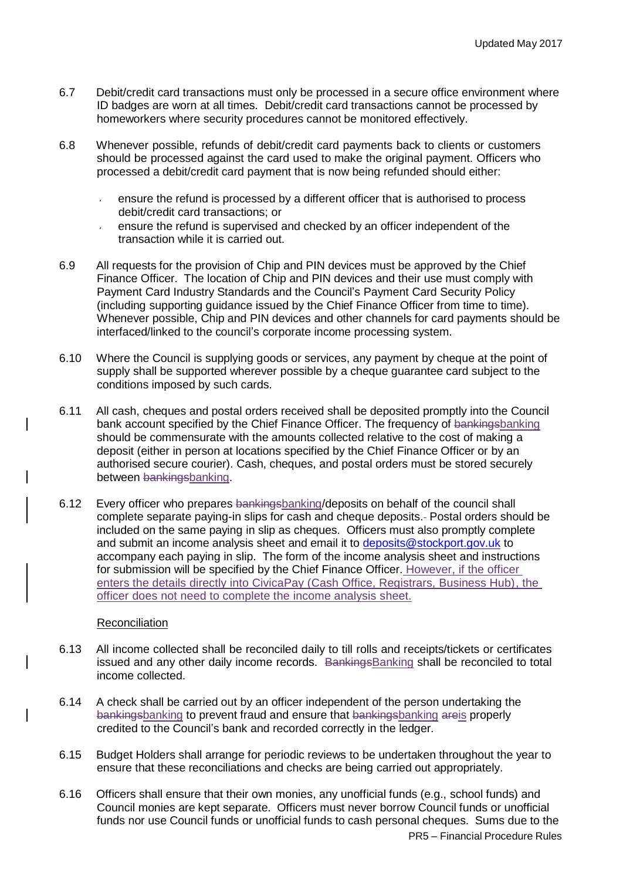- 6.7 Debit/credit card transactions must only be processed in a secure office environment where ID badges are worn at all times. Debit/credit card transactions cannot be processed by homeworkers where security procedures cannot be monitored effectively.
- 6.8 Whenever possible, refunds of debit/credit card payments back to clients or customers should be processed against the card used to make the original payment. Officers who processed a debit/credit card payment that is now being refunded should either:
	- ensure the refund is processed by a different officer that is authorised to process debit/credit card transactions; or
	- ensure the refund is supervised and checked by an officer independent of the transaction while it is carried out.
- 6.9 All requests for the provision of Chip and PIN devices must be approved by the Chief Finance Officer. The location of Chip and PIN devices and their use must comply with Payment Card Industry Standards and the Council's Payment Card Security Policy (including supporting guidance issued by the Chief Finance Officer from time to time). Whenever possible, Chip and PIN devices and other channels for card payments should be interfaced/linked to the council's corporate income processing system.
- 6.10 Where the Council is supplying goods or services, any payment by cheque at the point of supply shall be supported wherever possible by a cheque guarantee card subject to the conditions imposed by such cards.
- 6.11 All cash, cheques and postal orders received shall be deposited promptly into the Council bank account specified by the Chief Finance Officer. The frequency of bankingsbanking should be commensurate with the amounts collected relative to the cost of making a deposit (either in person at locations specified by the Chief Finance Officer or by an authorised secure courier). Cash, cheques, and postal orders must be stored securely between bankingsbanking.
- 6.12 Every officer who prepares bankingsbanking/deposits on behalf of the council shall complete separate paying-in slips for cash and cheque deposits. Postal orders should be included on the same paying in slip as cheques. Officers must also promptly complete and submit an income analysis sheet and email it to [deposits@stockport.gov.uk](mailto:deposits@stockport.gov.uk) to accompany each paying in slip. The form of the income analysis sheet and instructions for submission will be specified by the Chief Finance Officer. However, if the officer enters the details directly into CivicaPay (Cash Office, Registrars, Business Hub), the officer does not need to complete the income analysis sheet.

# **Reconciliation**

- 6.13 All income collected shall be reconciled daily to till rolls and receipts/tickets or certificates issued and any other daily income records. BankingsBanking shall be reconciled to total income collected.
- 6.14 A check shall be carried out by an officer independent of the person undertaking the bankingsbanking to prevent fraud and ensure that bankingsbanking areis properly credited to the Council's bank and recorded correctly in the ledger.
- 6.15 Budget Holders shall arrange for periodic reviews to be undertaken throughout the year to ensure that these reconciliations and checks are being carried out appropriately.
- 6.16 Officers shall ensure that their own monies, any unofficial funds (e.g., school funds) and Council monies are kept separate. Officers must never borrow Council funds or unofficial funds nor use Council funds or unofficial funds to cash personal cheques. Sums due to the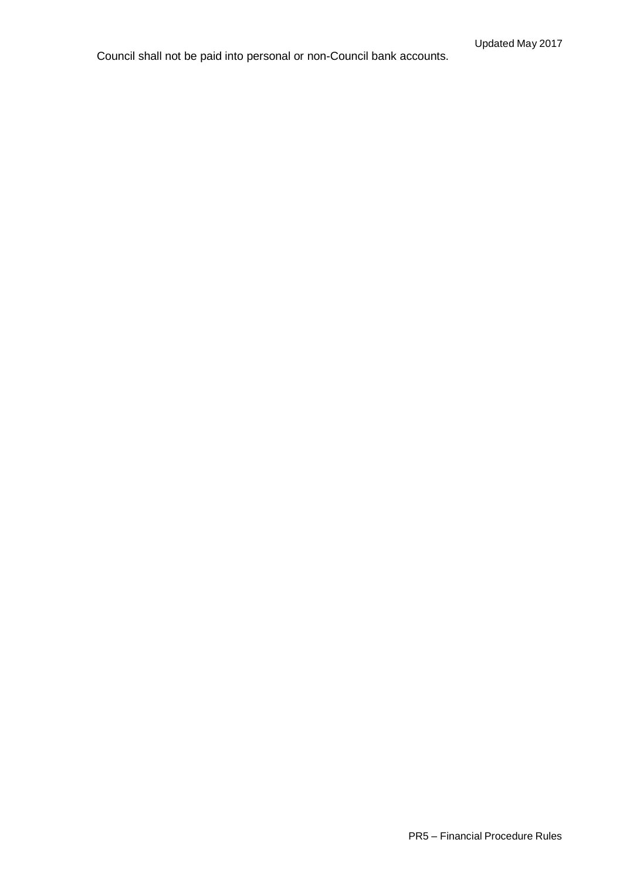Council shall not be paid into personal or non-Council bank accounts.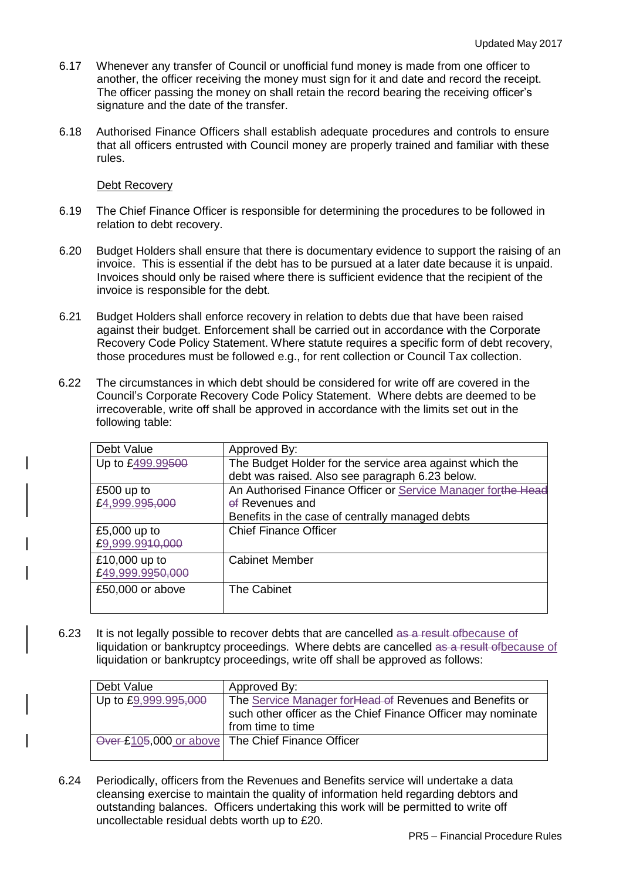- 6.17 Whenever any transfer of Council or unofficial fund money is made from one officer to another, the officer receiving the money must sign for it and date and record the receipt. The officer passing the money on shall retain the record bearing the receiving officer's signature and the date of the transfer.
- 6.18 Authorised Finance Officers shall establish adequate procedures and controls to ensure that all officers entrusted with Council money are properly trained and familiar with these rules.

### Debt Recovery

- 6.19 The Chief Finance Officer is responsible for determining the procedures to be followed in relation to debt recovery.
- 6.20 Budget Holders shall ensure that there is documentary evidence to support the raising of an invoice. This is essential if the debt has to be pursued at a later date because it is unpaid. Invoices should only be raised where there is sufficient evidence that the recipient of the invoice is responsible for the debt.
- 6.21 Budget Holders shall enforce recovery in relation to debts due that have been raised against their budget. Enforcement shall be carried out in accordance with the Corporate Recovery Code Policy Statement. Where statute requires a specific form of debt recovery, those procedures must be followed e.g., for rent collection or Council Tax collection.
- 6.22 The circumstances in which debt should be considered for write off are covered in the Council's Corporate Recovery Code Policy Statement. Where debts are deemed to be irrecoverable, write off shall be approved in accordance with the limits set out in the following table:

| Approved By:                                                 |
|--------------------------------------------------------------|
| The Budget Holder for the service area against which the     |
| debt was raised. Also see paragraph 6.23 below.              |
| An Authorised Finance Officer or Service Manager forthe Head |
| of Revenues and                                              |
| Benefits in the case of centrally managed debts              |
| <b>Chief Finance Officer</b>                                 |
|                                                              |
| <b>Cabinet Member</b>                                        |
|                                                              |
| <b>The Cabinet</b>                                           |
|                                                              |
|                                                              |

6.23 It is not legally possible to recover debts that are cancelled as a result of because of liquidation or bankruptcy proceedings. Where debts are cancelled as a result of because of liquidation or bankruptcy proceedings, write off shall be approved as follows:

| Debt Value           | Approved By:                                                 |
|----------------------|--------------------------------------------------------------|
| Up to £9,999.995,000 | The Service Manager for Head of Revenues and Benefits or     |
|                      | such other officer as the Chief Finance Officer may nominate |
|                      | from time to time                                            |
|                      | Over £105,000 or above The Chief Finance Officer             |
|                      |                                                              |

6.24 Periodically, officers from the Revenues and Benefits service will undertake a data cleansing exercise to maintain the quality of information held regarding debtors and outstanding balances. Officers undertaking this work will be permitted to write off uncollectable residual debts worth up to £20.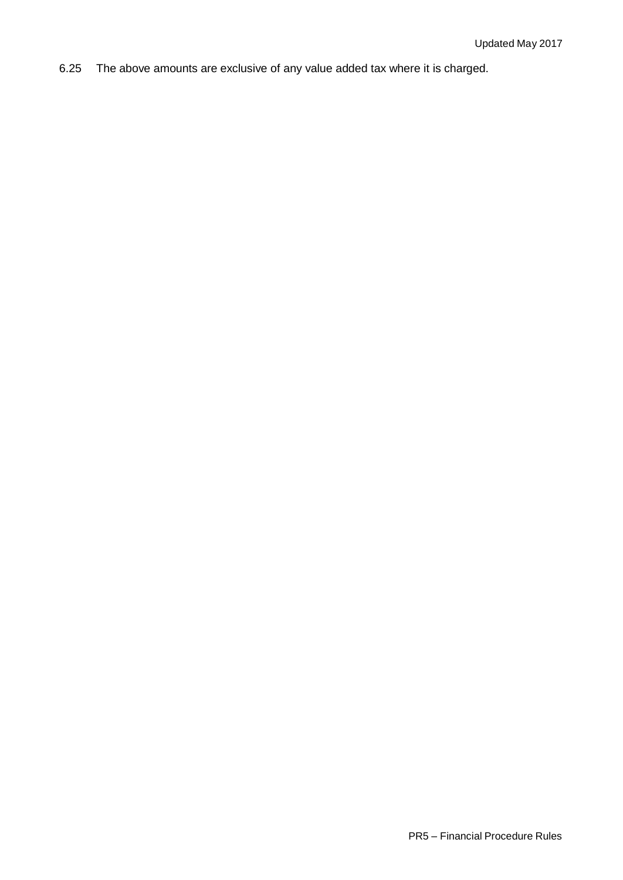6.25 The above amounts are exclusive of any value added tax where it is charged.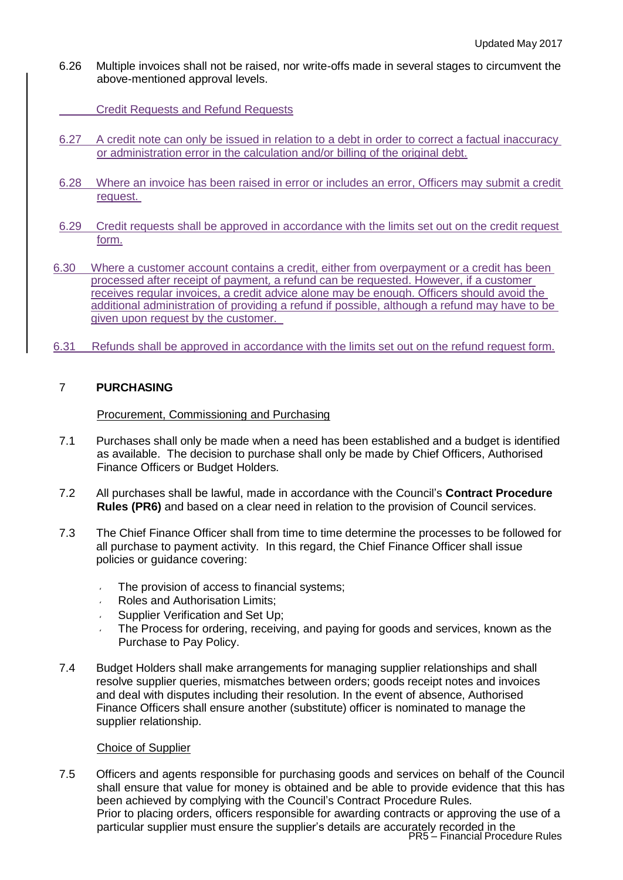6.26 Multiple invoices shall not be raised, nor write-offs made in several stages to circumvent the above-mentioned approval levels.

Credit Requests and Refund Requests

- 6.27 A credit note can only be issued in relation to a debt in order to correct a factual inaccuracy or administration error in the calculation and/or billing of the original debt.
- 6.28 Where an invoice has been raised in error or includes an error, Officers may submit a credit request.
- 6.29 Credit requests shall be approved in accordance with the limits set out on the credit request form.
- 6.30 Where a customer account contains a credit, either from overpayment or a credit has been processed after receipt of payment, a refund can be requested. However, if a customer receives regular invoices, a credit advice alone may be enough. Officers should avoid the additional administration of providing a refund if possible, although a refund may have to be given upon request by the customer.
- 6.31 Refunds shall be approved in accordance with the limits set out on the refund request form.

# 7 **PURCHASING**

### Procurement, Commissioning and Purchasing

- 7.1 Purchases shall only be made when a need has been established and a budget is identified as available. The decision to purchase shall only be made by Chief Officers, Authorised Finance Officers or Budget Holders.
- 7.2 All purchases shall be lawful, made in accordance with the Council's **Contract Procedure Rules (PR6)** and based on a clear need in relation to the provision of Council services.
- 7.3 The Chief Finance Officer shall from time to time determine the processes to be followed for all purchase to payment activity. In this regard, the Chief Finance Officer shall issue policies or guidance covering:
	- The provision of access to financial systems;
	- Roles and Authorisation Limits;
	- Supplier Verification and Set Up;
	- The Process for ordering, receiving, and paying for goods and services, known as the Purchase to Pay Policy.
- 7.4 Budget Holders shall make arrangements for managing supplier relationships and shall resolve supplier queries, mismatches between orders; goods receipt notes and invoices and deal with disputes including their resolution. In the event of absence, Authorised Finance Officers shall ensure another (substitute) officer is nominated to manage the supplier relationship.

### Choice of Supplier

PR5 – Financial Procedure Rules 7.5 Officers and agents responsible for purchasing goods and services on behalf of the Council shall ensure that value for money is obtained and be able to provide evidence that this has been achieved by complying with the Council's Contract Procedure Rules. Prior to placing orders, officers responsible for awarding contracts or approving the use of a particular supplier must ensure the supplier's details are accurately recorded in the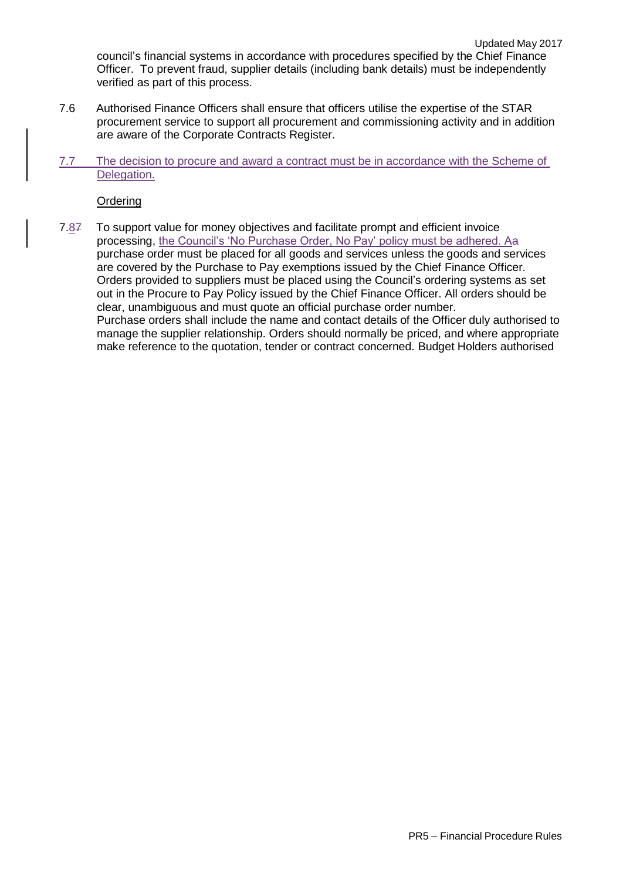council's financial systems in accordance with procedures specified by the Chief Finance Officer. To prevent fraud, supplier details (including bank details) must be independently verified as part of this process.

- 7.6 Authorised Finance Officers shall ensure that officers utilise the expertise of the STAR procurement service to support all procurement and commissioning activity and in addition are aware of the Corporate Contracts Register.
- 7.7 The decision to procure and award a contract must be in accordance with the Scheme of Delegation.

**Ordering** 

7.87 To support value for money objectives and facilitate prompt and efficient invoice processing, the Council's 'No Purchase Order, No Pay' policy must be adhered. Aa purchase order must be placed for all goods and services unless the goods and services are covered by the Purchase to Pay exemptions issued by the Chief Finance Officer. Orders provided to suppliers must be placed using the Council's ordering systems as set out in the Procure to Pay Policy issued by the Chief Finance Officer. All orders should be clear, unambiguous and must quote an official purchase order number. Purchase orders shall include the name and contact details of the Officer duly authorised to manage the supplier relationship. Orders should normally be priced, and where appropriate make reference to the quotation, tender or contract concerned. Budget Holders authorised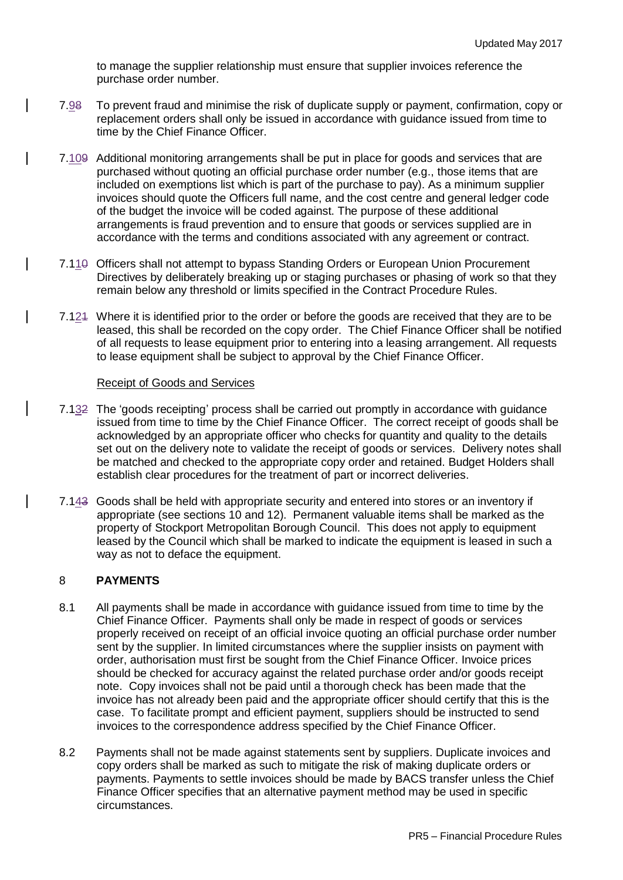to manage the supplier relationship must ensure that supplier invoices reference the purchase order number.

- 7.98 To prevent fraud and minimise the risk of duplicate supply or payment, confirmation, copy or replacement orders shall only be issued in accordance with guidance issued from time to time by the Chief Finance Officer.
- 7.109 Additional monitoring arrangements shall be put in place for goods and services that are purchased without quoting an official purchase order number (e.g., those items that are included on exemptions list which is part of the purchase to pay). As a minimum supplier invoices should quote the Officers full name, and the cost centre and general ledger code of the budget the invoice will be coded against. The purpose of these additional arrangements is fraud prevention and to ensure that goods or services supplied are in accordance with the terms and conditions associated with any agreement or contract.
- 7.110 Officers shall not attempt to bypass Standing Orders or European Union Procurement Directives by deliberately breaking up or staging purchases or phasing of work so that they remain below any threshold or limits specified in the Contract Procedure Rules.
- 7.121 Where it is identified prior to the order or before the goods are received that they are to be leased, this shall be recorded on the copy order. The Chief Finance Officer shall be notified of all requests to lease equipment prior to entering into a leasing arrangement. All requests to lease equipment shall be subject to approval by the Chief Finance Officer.

## Receipt of Goods and Services

- 7.132 The 'goods receipting' process shall be carried out promptly in accordance with guidance issued from time to time by the Chief Finance Officer. The correct receipt of goods shall be acknowledged by an appropriate officer who checks for quantity and quality to the details set out on the delivery note to validate the receipt of goods or services. Delivery notes shall be matched and checked to the appropriate copy order and retained. Budget Holders shall establish clear procedures for the treatment of part or incorrect deliveries.
- 7.143 Goods shall be held with appropriate security and entered into stores or an inventory if appropriate (see sections 10 and 12). Permanent valuable items shall be marked as the property of Stockport Metropolitan Borough Council. This does not apply to equipment leased by the Council which shall be marked to indicate the equipment is leased in such a way as not to deface the equipment.

## 8 **PAYMENTS**

- 8.1 All payments shall be made in accordance with guidance issued from time to time by the Chief Finance Officer. Payments shall only be made in respect of goods or services properly received on receipt of an official invoice quoting an official purchase order number sent by the supplier. In limited circumstances where the supplier insists on payment with order, authorisation must first be sought from the Chief Finance Officer. Invoice prices should be checked for accuracy against the related purchase order and/or goods receipt note. Copy invoices shall not be paid until a thorough check has been made that the invoice has not already been paid and the appropriate officer should certify that this is the case. To facilitate prompt and efficient payment, suppliers should be instructed to send invoices to the correspondence address specified by the Chief Finance Officer.
- 8.2 Payments shall not be made against statements sent by suppliers. Duplicate invoices and copy orders shall be marked as such to mitigate the risk of making duplicate orders or payments. Payments to settle invoices should be made by BACS transfer unless the Chief Finance Officer specifies that an alternative payment method may be used in specific circumstances.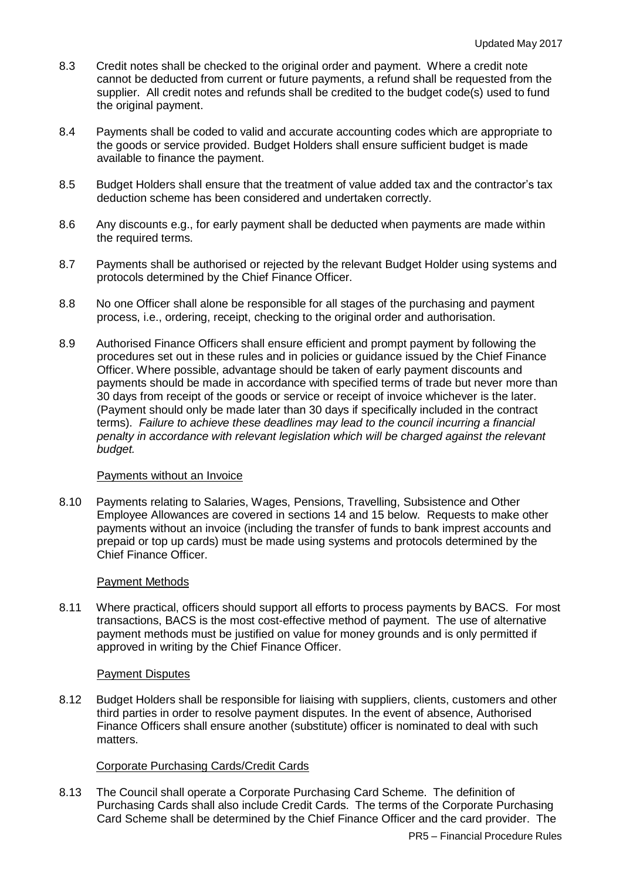- 8.3 Credit notes shall be checked to the original order and payment. Where a credit note cannot be deducted from current or future payments, a refund shall be requested from the supplier. All credit notes and refunds shall be credited to the budget code(s) used to fund the original payment.
- 8.4 Payments shall be coded to valid and accurate accounting codes which are appropriate to the goods or service provided. Budget Holders shall ensure sufficient budget is made available to finance the payment.
- 8.5 Budget Holders shall ensure that the treatment of value added tax and the contractor's tax deduction scheme has been considered and undertaken correctly.
- 8.6 Any discounts e.g., for early payment shall be deducted when payments are made within the required terms.
- 8.7 Payments shall be authorised or rejected by the relevant Budget Holder using systems and protocols determined by the Chief Finance Officer.
- 8.8 No one Officer shall alone be responsible for all stages of the purchasing and payment process, i.e., ordering, receipt, checking to the original order and authorisation.
- 8.9 Authorised Finance Officers shall ensure efficient and prompt payment by following the procedures set out in these rules and in policies or guidance issued by the Chief Finance Officer. Where possible, advantage should be taken of early payment discounts and payments should be made in accordance with specified terms of trade but never more than 30 days from receipt of the goods or service or receipt of invoice whichever is the later. (Payment should only be made later than 30 days if specifically included in the contract terms). *Failure to achieve these deadlines may lead to the council incurring a financial penalty in accordance with relevant legislation which will be charged against the relevant budget.*

### Payments without an Invoice

8.10 Payments relating to Salaries, Wages, Pensions, Travelling, Subsistence and Other Employee Allowances are covered in sections 14 and 15 below. Requests to make other payments without an invoice (including the transfer of funds to bank imprest accounts and prepaid or top up cards) must be made using systems and protocols determined by the Chief Finance Officer.

# Payment Methods

8.11 Where practical, officers should support all efforts to process payments by BACS. For most transactions, BACS is the most cost-effective method of payment. The use of alternative payment methods must be justified on value for money grounds and is only permitted if approved in writing by the Chief Finance Officer.

### Payment Disputes

8.12 Budget Holders shall be responsible for liaising with suppliers, clients, customers and other third parties in order to resolve payment disputes. In the event of absence, Authorised Finance Officers shall ensure another (substitute) officer is nominated to deal with such matters.

# Corporate Purchasing Cards/Credit Cards

8.13 The Council shall operate a Corporate Purchasing Card Scheme. The definition of Purchasing Cards shall also include Credit Cards. The terms of the Corporate Purchasing Card Scheme shall be determined by the Chief Finance Officer and the card provider. The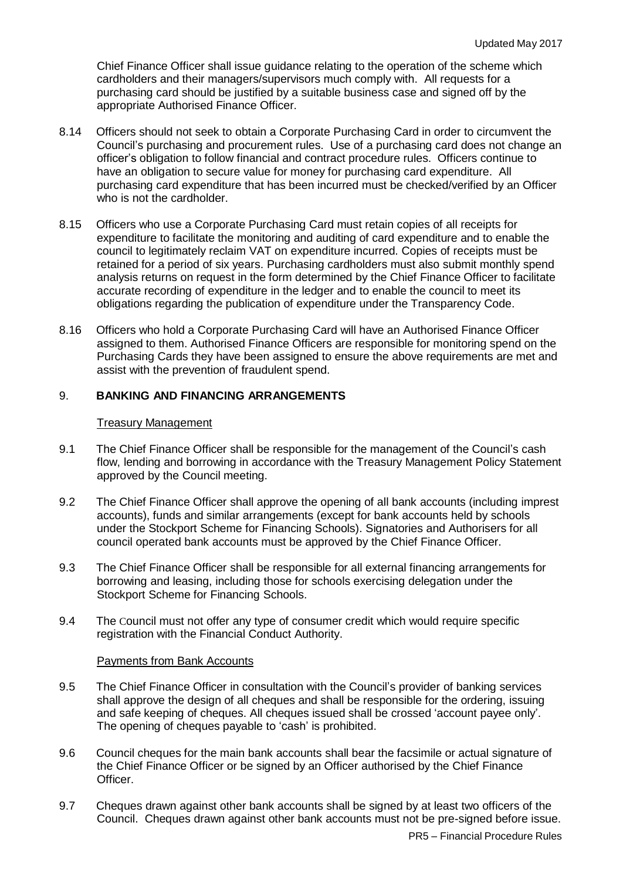Chief Finance Officer shall issue guidance relating to the operation of the scheme which cardholders and their managers/supervisors much comply with. All requests for a purchasing card should be justified by a suitable business case and signed off by the appropriate Authorised Finance Officer.

- 8.14 Officers should not seek to obtain a Corporate Purchasing Card in order to circumvent the Council's purchasing and procurement rules. Use of a purchasing card does not change an officer's obligation to follow financial and contract procedure rules. Officers continue to have an obligation to secure value for money for purchasing card expenditure. All purchasing card expenditure that has been incurred must be checked/verified by an Officer who is not the cardholder.
- 8.15 Officers who use a Corporate Purchasing Card must retain copies of all receipts for expenditure to facilitate the monitoring and auditing of card expenditure and to enable the council to legitimately reclaim VAT on expenditure incurred. Copies of receipts must be retained for a period of six years. Purchasing cardholders must also submit monthly spend analysis returns on request in the form determined by the Chief Finance Officer to facilitate accurate recording of expenditure in the ledger and to enable the council to meet its obligations regarding the publication of expenditure under the Transparency Code.
- 8.16 Officers who hold a Corporate Purchasing Card will have an Authorised Finance Officer assigned to them. Authorised Finance Officers are responsible for monitoring spend on the Purchasing Cards they have been assigned to ensure the above requirements are met and assist with the prevention of fraudulent spend.

# 9. **BANKING AND FINANCING ARRANGEMENTS**

### Treasury Management

- 9.1 The Chief Finance Officer shall be responsible for the management of the Council's cash flow, lending and borrowing in accordance with the Treasury Management Policy Statement approved by the Council meeting.
- 9.2 The Chief Finance Officer shall approve the opening of all bank accounts (including imprest accounts), funds and similar arrangements (except for bank accounts held by schools under the Stockport Scheme for Financing Schools). Signatories and Authorisers for all council operated bank accounts must be approved by the Chief Finance Officer.
- 9.3 The Chief Finance Officer shall be responsible for all external financing arrangements for borrowing and leasing, including those for schools exercising delegation under the Stockport Scheme for Financing Schools.
- 9.4 The Council must not offer any type of consumer credit which would require specific registration with the Financial Conduct Authority.

### Payments from Bank Accounts

- 9.5 The Chief Finance Officer in consultation with the Council's provider of banking services shall approve the design of all cheques and shall be responsible for the ordering, issuing and safe keeping of cheques. All cheques issued shall be crossed 'account payee only'. The opening of cheques payable to 'cash' is prohibited.
- 9.6 Council cheques for the main bank accounts shall bear the facsimile or actual signature of the Chief Finance Officer or be signed by an Officer authorised by the Chief Finance Officer.
- 9.7 Cheques drawn against other bank accounts shall be signed by at least two officers of the Council. Cheques drawn against other bank accounts must not be pre-signed before issue.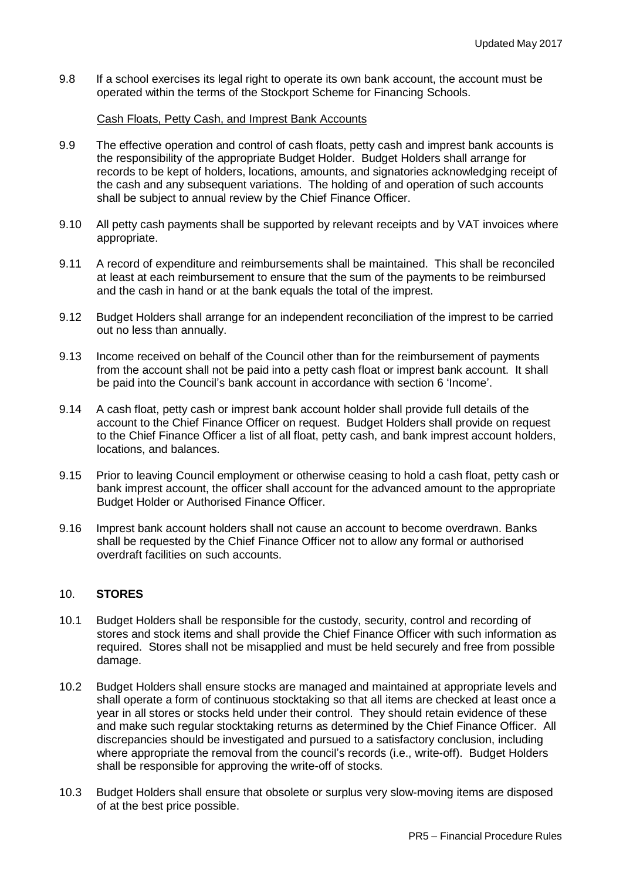9.8 If a school exercises its legal right to operate its own bank account, the account must be operated within the terms of the Stockport Scheme for Financing Schools.

### Cash Floats, Petty Cash, and Imprest Bank Accounts

- 9.9 The effective operation and control of cash floats, petty cash and imprest bank accounts is the responsibility of the appropriate Budget Holder. Budget Holders shall arrange for records to be kept of holders, locations, amounts, and signatories acknowledging receipt of the cash and any subsequent variations. The holding of and operation of such accounts shall be subject to annual review by the Chief Finance Officer.
- 9.10 All petty cash payments shall be supported by relevant receipts and by VAT invoices where appropriate.
- 9.11 A record of expenditure and reimbursements shall be maintained. This shall be reconciled at least at each reimbursement to ensure that the sum of the payments to be reimbursed and the cash in hand or at the bank equals the total of the imprest.
- 9.12 Budget Holders shall arrange for an independent reconciliation of the imprest to be carried out no less than annually.
- 9.13 Income received on behalf of the Council other than for the reimbursement of payments from the account shall not be paid into a petty cash float or imprest bank account. It shall be paid into the Council's bank account in accordance with section 6 'Income'.
- 9.14 A cash float, petty cash or imprest bank account holder shall provide full details of the account to the Chief Finance Officer on request. Budget Holders shall provide on request to the Chief Finance Officer a list of all float, petty cash, and bank imprest account holders, locations, and balances.
- 9.15 Prior to leaving Council employment or otherwise ceasing to hold a cash float, petty cash or bank imprest account, the officer shall account for the advanced amount to the appropriate Budget Holder or Authorised Finance Officer.
- 9.16 Imprest bank account holders shall not cause an account to become overdrawn. Banks shall be requested by the Chief Finance Officer not to allow any formal or authorised overdraft facilities on such accounts.

# 10. **STORES**

- 10.1 Budget Holders shall be responsible for the custody, security, control and recording of stores and stock items and shall provide the Chief Finance Officer with such information as required. Stores shall not be misapplied and must be held securely and free from possible damage.
- 10.2 Budget Holders shall ensure stocks are managed and maintained at appropriate levels and shall operate a form of continuous stocktaking so that all items are checked at least once a year in all stores or stocks held under their control. They should retain evidence of these and make such regular stocktaking returns as determined by the Chief Finance Officer. All discrepancies should be investigated and pursued to a satisfactory conclusion, including where appropriate the removal from the council's records (i.e., write-off). Budget Holders shall be responsible for approving the write-off of stocks.
- 10.3 Budget Holders shall ensure that obsolete or surplus very slow-moving items are disposed of at the best price possible.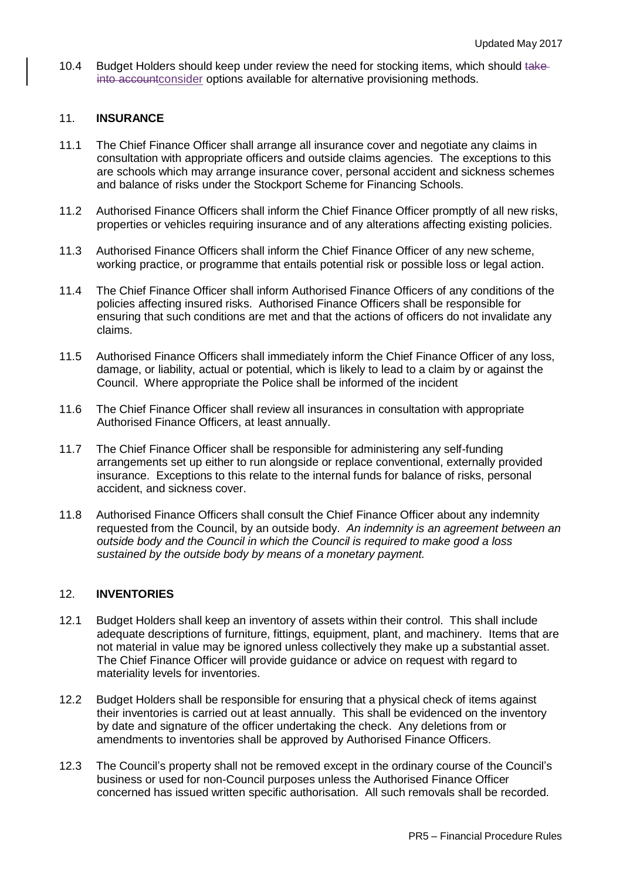10.4 Budget Holders should keep under review the need for stocking items, which should takeinto accountconsider options available for alternative provisioning methods.

### 11. **INSURANCE**

- 11.1 The Chief Finance Officer shall arrange all insurance cover and negotiate any claims in consultation with appropriate officers and outside claims agencies. The exceptions to this are schools which may arrange insurance cover, personal accident and sickness schemes and balance of risks under the Stockport Scheme for Financing Schools.
- 11.2 Authorised Finance Officers shall inform the Chief Finance Officer promptly of all new risks, properties or vehicles requiring insurance and of any alterations affecting existing policies.
- 11.3 Authorised Finance Officers shall inform the Chief Finance Officer of any new scheme, working practice, or programme that entails potential risk or possible loss or legal action.
- 11.4 The Chief Finance Officer shall inform Authorised Finance Officers of any conditions of the policies affecting insured risks. Authorised Finance Officers shall be responsible for ensuring that such conditions are met and that the actions of officers do not invalidate any claims.
- 11.5 Authorised Finance Officers shall immediately inform the Chief Finance Officer of any loss, damage, or liability, actual or potential, which is likely to lead to a claim by or against the Council. Where appropriate the Police shall be informed of the incident
- 11.6 The Chief Finance Officer shall review all insurances in consultation with appropriate Authorised Finance Officers, at least annually.
- 11.7 The Chief Finance Officer shall be responsible for administering any self-funding arrangements set up either to run alongside or replace conventional, externally provided insurance. Exceptions to this relate to the internal funds for balance of risks, personal accident, and sickness cover.
- 11.8 Authorised Finance Officers shall consult the Chief Finance Officer about any indemnity requested from the Council, by an outside body. *An indemnity is an agreement between an outside body and the Council in which the Council is required to make good a loss sustained by the outside body by means of a monetary payment.*

### 12. **INVENTORIES**

- 12.1 Budget Holders shall keep an inventory of assets within their control. This shall include adequate descriptions of furniture, fittings, equipment, plant, and machinery. Items that are not material in value may be ignored unless collectively they make up a substantial asset. The Chief Finance Officer will provide guidance or advice on request with regard to materiality levels for inventories.
- 12.2 Budget Holders shall be responsible for ensuring that a physical check of items against their inventories is carried out at least annually. This shall be evidenced on the inventory by date and signature of the officer undertaking the check. Any deletions from or amendments to inventories shall be approved by Authorised Finance Officers.
- 12.3 The Council's property shall not be removed except in the ordinary course of the Council's business or used for non-Council purposes unless the Authorised Finance Officer concerned has issued written specific authorisation. All such removals shall be recorded.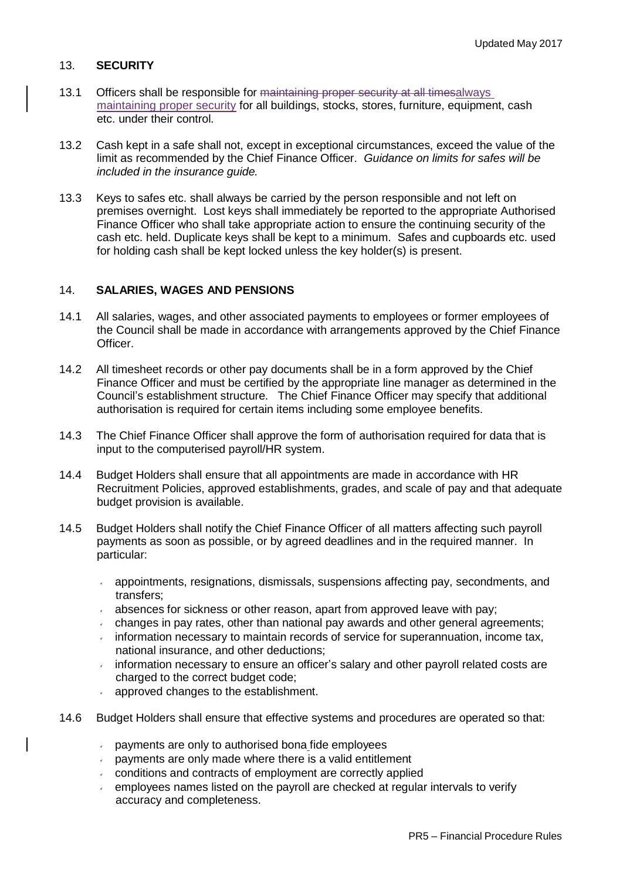# 13. **SECURITY**

- 13.1 Officers shall be responsible for maintaining proper security at all timesalways maintaining proper security for all buildings, stocks, stores, furniture, equipment, cash etc. under their control.
- 13.2 Cash kept in a safe shall not, except in exceptional circumstances, exceed the value of the limit as recommended by the Chief Finance Officer. *Guidance on limits for safes will be included in the insurance guide.*
- 13.3 Keys to safes etc. shall always be carried by the person responsible and not left on premises overnight. Lost keys shall immediately be reported to the appropriate Authorised Finance Officer who shall take appropriate action to ensure the continuing security of the cash etc. held. Duplicate keys shall be kept to a minimum. Safes and cupboards etc. used for holding cash shall be kept locked unless the key holder(s) is present.

## 14. **SALARIES, WAGES AND PENSIONS**

- 14.1 All salaries, wages, and other associated payments to employees or former employees of the Council shall be made in accordance with arrangements approved by the Chief Finance Officer.
- 14.2 All timesheet records or other pay documents shall be in a form approved by the Chief Finance Officer and must be certified by the appropriate line manager as determined in the Council's establishment structure. The Chief Finance Officer may specify that additional authorisation is required for certain items including some employee benefits.
- 14.3 The Chief Finance Officer shall approve the form of authorisation required for data that is input to the computerised payroll/HR system.
- 14.4 Budget Holders shall ensure that all appointments are made in accordance with HR Recruitment Policies, approved establishments, grades, and scale of pay and that adequate budget provision is available.
- 14.5 Budget Holders shall notify the Chief Finance Officer of all matters affecting such payroll payments as soon as possible, or by agreed deadlines and in the required manner. In particular:
	- appointments, resignations, dismissals, suspensions affecting pay, secondments, and  $\mathbf{v}^{(i)}$  . transfers;
	- $\sqrt{2}$ absences for sickness or other reason, apart from approved leave with pay;
	- changes in pay rates, other than national pay awards and other general agreements;  $\epsilon$
	- information necessary to maintain records of service for superannuation, income tax,  $\sqrt{2}$ national insurance, and other deductions;
	- information necessary to ensure an officer's salary and other payroll related costs are  $\mathbf{v}^{(i)}$ charged to the correct budget code;
	- approved changes to the establishment.
- 14.6 Budget Holders shall ensure that effective systems and procedures are operated so that:
	- payments are only to authorised bona fide employees
	- $\sim$  payments are only made where there is a valid entitlement
	- conditions and contracts of employment are correctly applied
	- employees names listed on the payroll are checked at regular intervals to verify  $\mathbf{v}$ accuracy and completeness.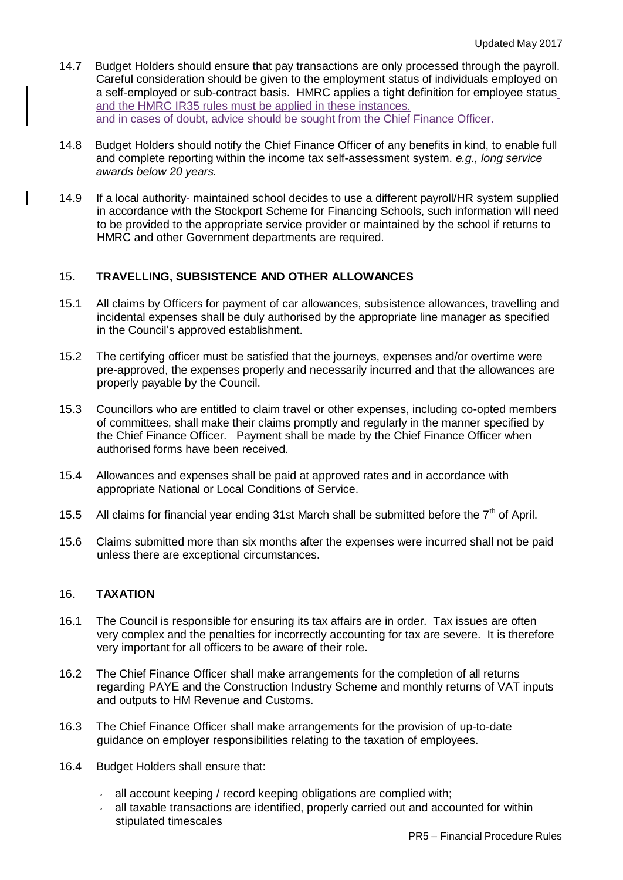- 14.7 Budget Holders should ensure that pay transactions are only processed through the payroll. Careful consideration should be given to the employment status of individuals employed on a self-employed or sub-contract basis. HMRC applies a tight definition for employee status and the HMRC IR35 rules must be applied in these instances. and in cases of doubt, advice should be sought from the Chief Finance Officer.
- 14.8 Budget Holders should notify the Chief Finance Officer of any benefits in kind, to enable full and complete reporting within the income tax self-assessment system. *e.g., long service awards below 20 years.*
- 14.9 If a local authority--maintained school decides to use a different payroll/HR system supplied in accordance with the Stockport Scheme for Financing Schools, such information will need to be provided to the appropriate service provider or maintained by the school if returns to HMRC and other Government departments are required.

# 15. **TRAVELLING, SUBSISTENCE AND OTHER ALLOWANCES**

- 15.1 All claims by Officers for payment of car allowances, subsistence allowances, travelling and incidental expenses shall be duly authorised by the appropriate line manager as specified in the Council's approved establishment.
- 15.2 The certifying officer must be satisfied that the journeys, expenses and/or overtime were pre-approved, the expenses properly and necessarily incurred and that the allowances are properly payable by the Council.
- 15.3 Councillors who are entitled to claim travel or other expenses, including co-opted members of committees, shall make their claims promptly and regularly in the manner specified by the Chief Finance Officer. Payment shall be made by the Chief Finance Officer when authorised forms have been received.
- 15.4 Allowances and expenses shall be paid at approved rates and in accordance with appropriate National or Local Conditions of Service.
- 15.5 All claims for financial year ending 31st March shall be submitted before the  $7<sup>th</sup>$  of April.
- 15.6 Claims submitted more than six months after the expenses were incurred shall not be paid unless there are exceptional circumstances.

## 16. **TAXATION**

- 16.1 The Council is responsible for ensuring its tax affairs are in order. Tax issues are often very complex and the penalties for incorrectly accounting for tax are severe. It is therefore very important for all officers to be aware of their role.
- 16.2 The Chief Finance Officer shall make arrangements for the completion of all returns regarding PAYE and the Construction Industry Scheme and monthly returns of VAT inputs and outputs to HM Revenue and Customs.
- 16.3 The Chief Finance Officer shall make arrangements for the provision of up-to-date guidance on employer responsibilities relating to the taxation of employees.
- 16.4 Budget Holders shall ensure that:
	- all account keeping / record keeping obligations are complied with;  $\mathbf{v}^{(i)}$
	- all taxable transactions are identified, properly carried out and accounted for within stipulated timescales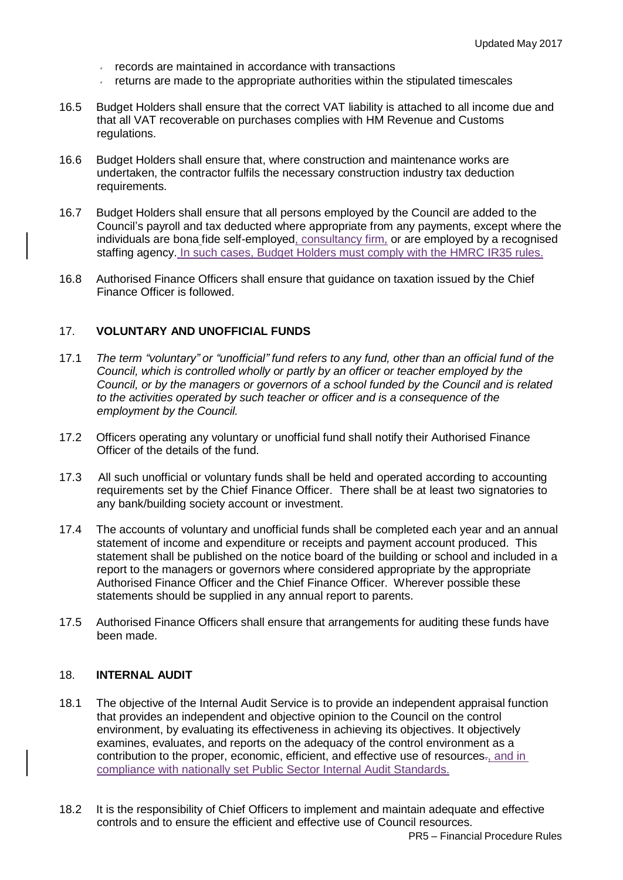- records are maintained in accordance with transactions
- $\cdot$  returns are made to the appropriate authorities within the stipulated timescales
- 16.5 Budget Holders shall ensure that the correct VAT liability is attached to all income due and that all VAT recoverable on purchases complies with HM Revenue and Customs regulations.
- 16.6 Budget Holders shall ensure that, where construction and maintenance works are undertaken, the contractor fulfils the necessary construction industry tax deduction requirements.
- 16.7 Budget Holders shall ensure that all persons employed by the Council are added to the Council's payroll and tax deducted where appropriate from any payments, except where the individuals are bona fide self-employed, consultancy firm, or are employed by a recognised staffing agency. In such cases, Budget Holders must comply with the HMRC IR35 rules.
- 16.8 Authorised Finance Officers shall ensure that guidance on taxation issued by the Chief Finance Officer is followed.

## 17. **VOLUNTARY AND UNOFFICIAL FUNDS**

- 17.1 *The term "voluntary" or "unofficial" fund refers to any fund, other than an official fund of the Council, which is controlled wholly or partly by an officer or teacher employed by the Council, or by the managers or governors of a school funded by the Council and is related to the activities operated by such teacher or officer and is a consequence of the employment by the Council.*
- 17.2 Officers operating any voluntary or unofficial fund shall notify their Authorised Finance Officer of the details of the fund.
- 17.3 All such unofficial or voluntary funds shall be held and operated according to accounting requirements set by the Chief Finance Officer. There shall be at least two signatories to any bank/building society account or investment.
- 17.4 The accounts of voluntary and unofficial funds shall be completed each year and an annual statement of income and expenditure or receipts and payment account produced. This statement shall be published on the notice board of the building or school and included in a report to the managers or governors where considered appropriate by the appropriate Authorised Finance Officer and the Chief Finance Officer. Wherever possible these statements should be supplied in any annual report to parents.
- 17.5 Authorised Finance Officers shall ensure that arrangements for auditing these funds have been made.

### 18. **INTERNAL AUDIT**

- 18.1 The objective of the Internal Audit Service is to provide an independent appraisal function that provides an independent and objective opinion to the Council on the control environment, by evaluating its effectiveness in achieving its objectives. It objectively examines, evaluates, and reports on the adequacy of the control environment as a contribution to the proper, economic, efficient, and effective use of resources., and in compliance with nationally set Public Sector Internal Audit Standards.
- 18.2 It is the responsibility of Chief Officers to implement and maintain adequate and effective controls and to ensure the efficient and effective use of Council resources.